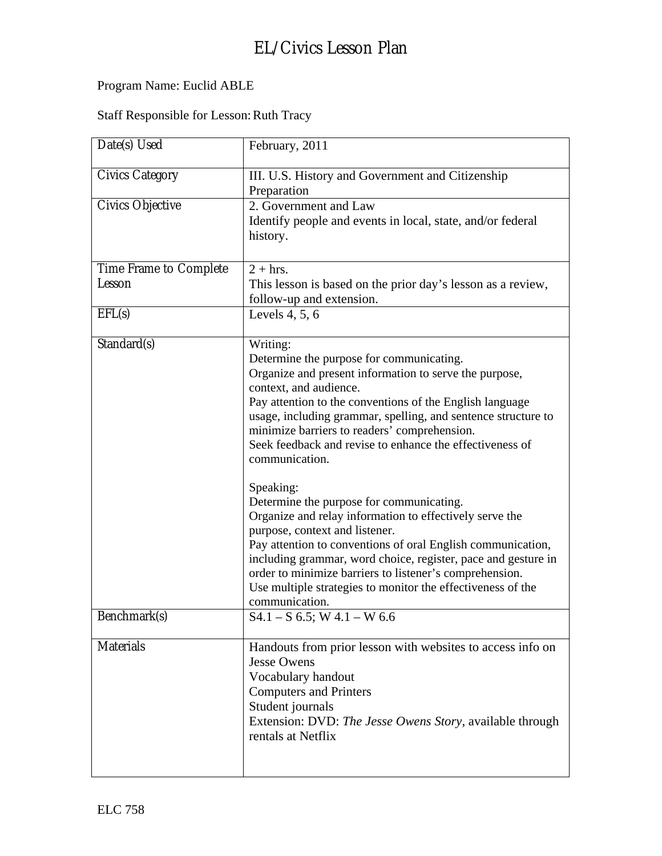## Program Name: Euclid ABLE

### Staff Responsible for Lesson: Ruth Tracy

| Date(s) Used                     | February, 2011                                                                                                                                                                                                                                                                                                                                                                                                                                                                                                                                                                                                                                                                                                                                                                                                                        |
|----------------------------------|---------------------------------------------------------------------------------------------------------------------------------------------------------------------------------------------------------------------------------------------------------------------------------------------------------------------------------------------------------------------------------------------------------------------------------------------------------------------------------------------------------------------------------------------------------------------------------------------------------------------------------------------------------------------------------------------------------------------------------------------------------------------------------------------------------------------------------------|
| <b>Civics Category</b>           | III. U.S. History and Government and Citizenship<br>Preparation                                                                                                                                                                                                                                                                                                                                                                                                                                                                                                                                                                                                                                                                                                                                                                       |
| Civics Objective                 | 2. Government and Law<br>Identify people and events in local, state, and/or federal<br>history.                                                                                                                                                                                                                                                                                                                                                                                                                                                                                                                                                                                                                                                                                                                                       |
| Time Frame to Complete<br>Lesson | $2 + hrs.$<br>This lesson is based on the prior day's lesson as a review,<br>follow-up and extension.                                                                                                                                                                                                                                                                                                                                                                                                                                                                                                                                                                                                                                                                                                                                 |
| EFL(s)                           | Levels $4, 5, 6$                                                                                                                                                                                                                                                                                                                                                                                                                                                                                                                                                                                                                                                                                                                                                                                                                      |
| Standard(s)                      | Writing:<br>Determine the purpose for communicating.<br>Organize and present information to serve the purpose,<br>context, and audience.<br>Pay attention to the conventions of the English language<br>usage, including grammar, spelling, and sentence structure to<br>minimize barriers to readers' comprehension.<br>Seek feedback and revise to enhance the effectiveness of<br>communication.<br>Speaking:<br>Determine the purpose for communicating.<br>Organize and relay information to effectively serve the<br>purpose, context and listener.<br>Pay attention to conventions of oral English communication,<br>including grammar, word choice, register, pace and gesture in<br>order to minimize barriers to listener's comprehension.<br>Use multiple strategies to monitor the effectiveness of the<br>communication. |
| Benchmark(s)                     | $S4.1 - S$ 6.5; W 4.1 – W 6.6                                                                                                                                                                                                                                                                                                                                                                                                                                                                                                                                                                                                                                                                                                                                                                                                         |
| <b>Materials</b>                 | Handouts from prior lesson with websites to access info on<br><b>Jesse Owens</b><br>Vocabulary handout<br><b>Computers and Printers</b><br>Student journals<br>Extension: DVD: The Jesse Owens Story, available through<br>rentals at Netflix                                                                                                                                                                                                                                                                                                                                                                                                                                                                                                                                                                                         |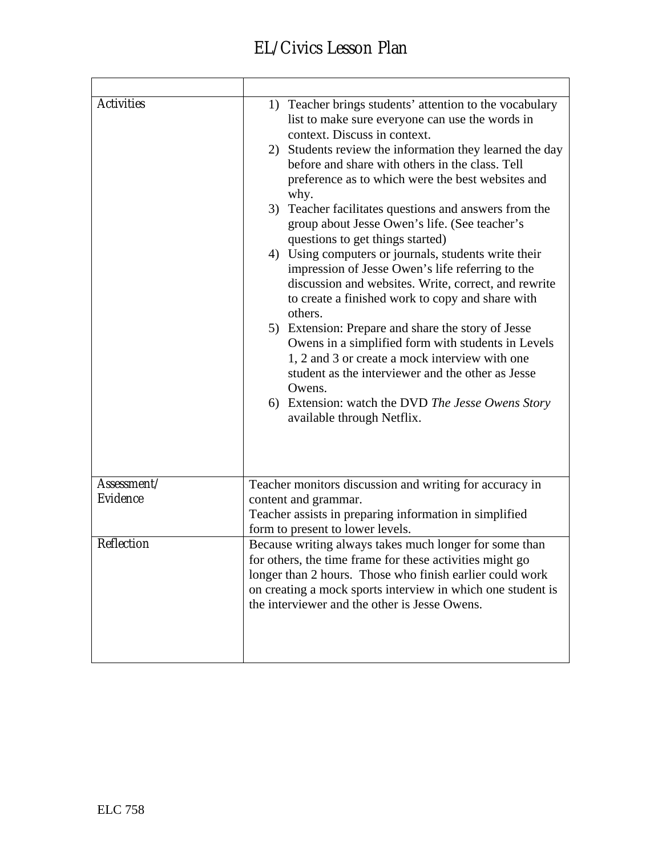| Activities  | 1) Teacher brings students' attention to the vocabulary<br>list to make sure everyone can use the words in<br>context. Discuss in context.<br>2) Students review the information they learned the day<br>before and share with others in the class. Tell<br>preference as to which were the best websites and<br>why.<br>3) Teacher facilitates questions and answers from the<br>group about Jesse Owen's life. (See teacher's<br>questions to get things started)<br>4) Using computers or journals, students write their<br>impression of Jesse Owen's life referring to the<br>discussion and websites. Write, correct, and rewrite<br>to create a finished work to copy and share with<br>others.<br>5) Extension: Prepare and share the story of Jesse<br>Owens in a simplified form with students in Levels<br>1, 2 and 3 or create a mock interview with one<br>student as the interviewer and the other as Jesse<br>Owens.<br>6) Extension: watch the DVD The Jesse Owens Story<br>available through Netflix. |
|-------------|------------------------------------------------------------------------------------------------------------------------------------------------------------------------------------------------------------------------------------------------------------------------------------------------------------------------------------------------------------------------------------------------------------------------------------------------------------------------------------------------------------------------------------------------------------------------------------------------------------------------------------------------------------------------------------------------------------------------------------------------------------------------------------------------------------------------------------------------------------------------------------------------------------------------------------------------------------------------------------------------------------------------|
| Assessment/ | Teacher monitors discussion and writing for accuracy in                                                                                                                                                                                                                                                                                                                                                                                                                                                                                                                                                                                                                                                                                                                                                                                                                                                                                                                                                                |
| Evidence    | content and grammar.                                                                                                                                                                                                                                                                                                                                                                                                                                                                                                                                                                                                                                                                                                                                                                                                                                                                                                                                                                                                   |
|             | Teacher assists in preparing information in simplified<br>form to present to lower levels.                                                                                                                                                                                                                                                                                                                                                                                                                                                                                                                                                                                                                                                                                                                                                                                                                                                                                                                             |
| Reflection  | Because writing always takes much longer for some than<br>for others, the time frame for these activities might go<br>longer than 2 hours. Those who finish earlier could work<br>on creating a mock sports interview in which one student is<br>the interviewer and the other is Jesse Owens.                                                                                                                                                                                                                                                                                                                                                                                                                                                                                                                                                                                                                                                                                                                         |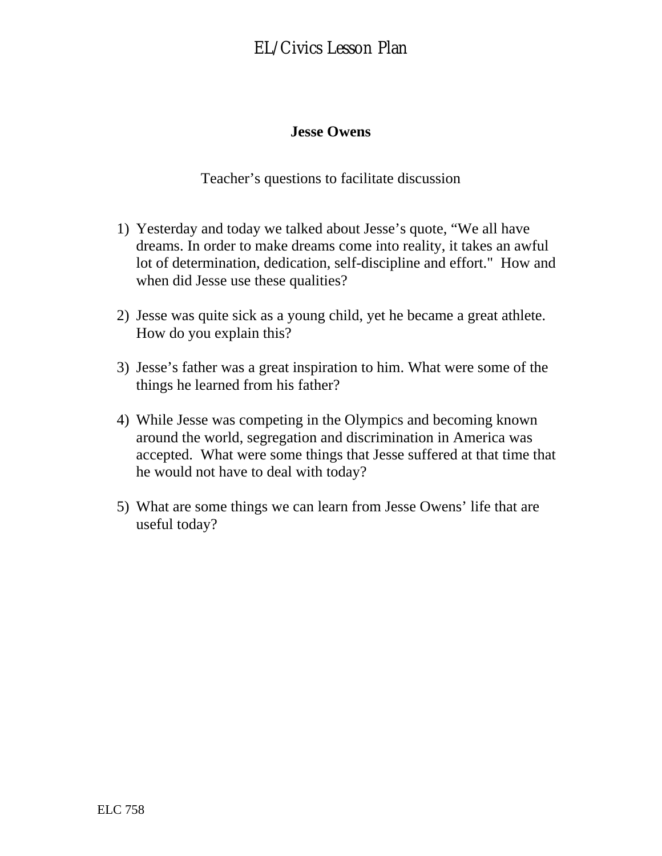#### **Jesse Owens**

Teacher's questions to facilitate discussion

- 1) Yesterday and today we talked about Jesse's quote, "We all have dreams. In order to make dreams come into reality, it takes an awful lot of determination, dedication, self-discipline and effort." How and when did Jesse use these qualities?
- 2) Jesse was quite sick as a young child, yet he became a great athlete. How do you explain this?
- 3) Jesse's father was a great inspiration to him. What were some of the things he learned from his father?
- 4) While Jesse was competing in the Olympics and becoming known around the world, segregation and discrimination in America was accepted. What were some things that Jesse suffered at that time that he would not have to deal with today?
- 5) What are some things we can learn from Jesse Owens' life that are useful today?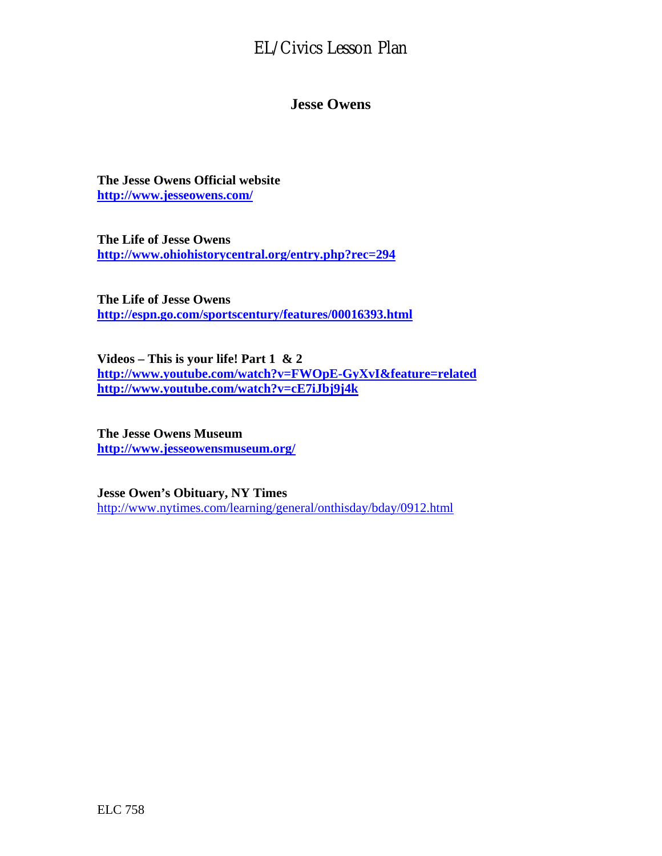#### **Jesse Owens**

**The Jesse Owens Official website <http://www.jesseowens.com/>**

**The Life of Jesse Owens <http://www.ohiohistorycentral.org/entry.php?rec=294>**

**The Life of Jesse Owens <http://espn.go.com/sportscentury/features/00016393.html>**

**Videos – This is your life! Part 1 & 2 <http://www.youtube.com/watch?v=FWOpE-GyXvI&feature=related> <http://www.youtube.com/watch?v=cE7iJbj9j4k>**

**The Jesse Owens Museum <http://www.jesseowensmuseum.org/>**

**Jesse Owen's Obituary, NY Times**  <http://www.nytimes.com/learning/general/onthisday/bday/0912.html>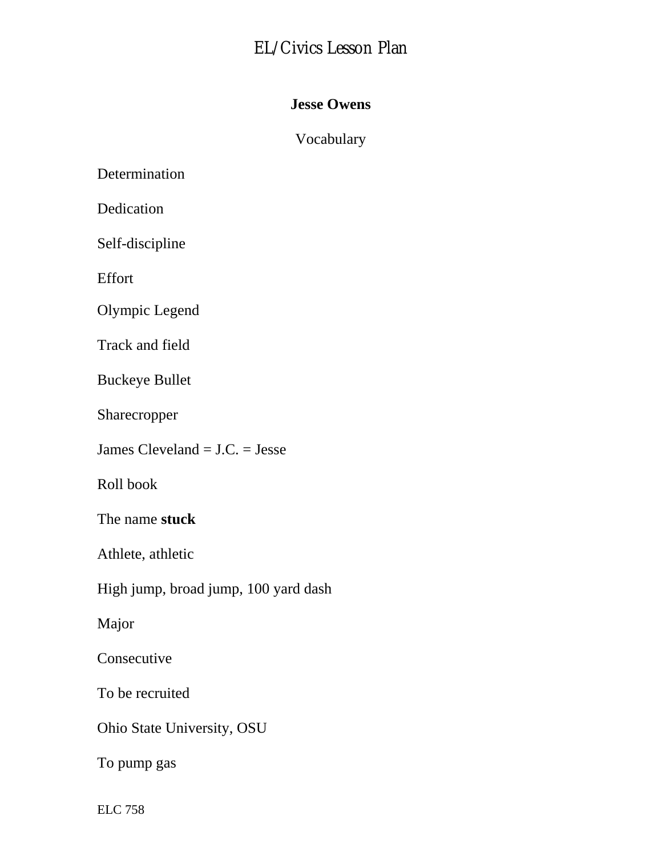### **Jesse Owens**

### Vocabulary

Determination

Dedication

Self-discipline

Effort

Olympic Legend

Track and field

Buckeye Bullet

Sharecropper

James Cleveland = J.C. = Jesse

Roll book

The name **stuck** 

Athlete, athletic

High jump, broad jump, 100 yard dash

Major

Consecutive

To be recruited

Ohio State University, OSU

To pump gas

ELC 758